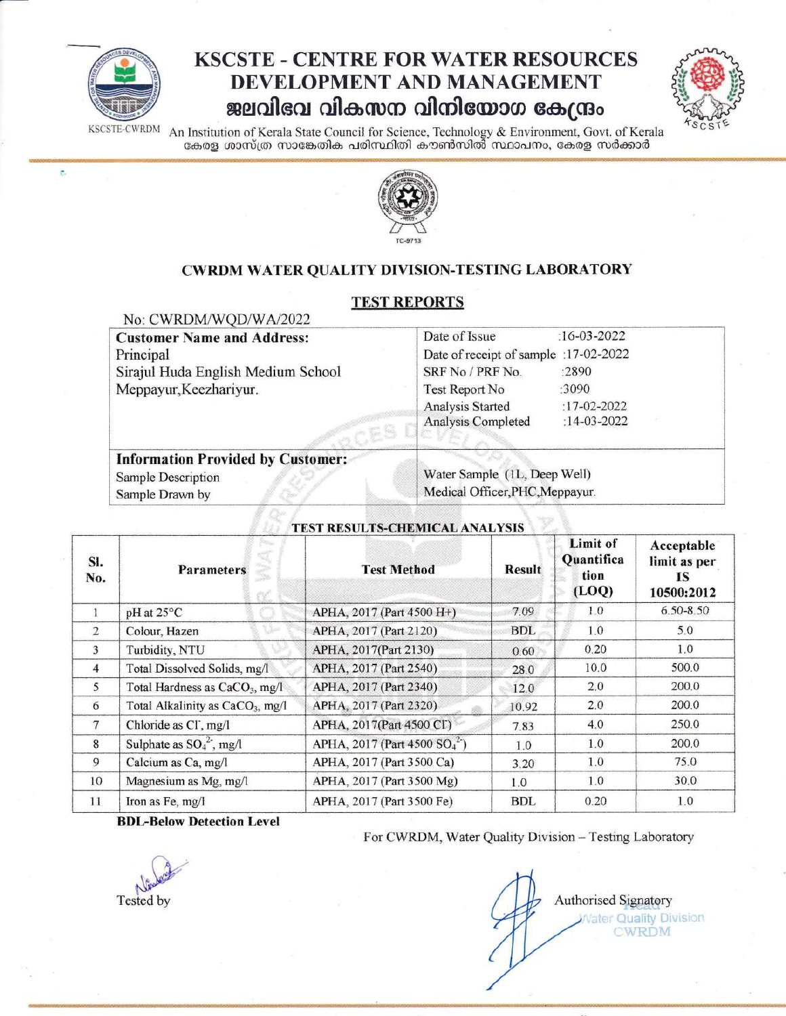

 $\overline{\xi}$ 

## **KSCSTE - CENTRE FOR WATER RESOURCES** DEVELOPMENT AND MANAGEMENT ജലവിഭവ വികസന വിനിയോഗ കേന്ദ്രം



An Institution of Kerala State Council for Science, Technology & Environment, Govt. of Kerala<br>കേരള ശാസ്ത്ര സാങ്കേതിക പരിസ്ഥിതി കൗൺസിൽ സ്ഥാപനം, കേരള സർക്കാർ KSCSTE-CWRDM



#### CWRDM WATER QUALITY DIVISION-TESTING LABORATORY

#### **TEST REPORTS**

 $\alpha$ 

| NO: CWRDM/WOD/WA/2022<br><b>Customer Name and Address:</b><br>Principal<br>Sirajul Huda English Medium School<br>Meppayur, Keezhariyur. | Date of Issue<br>$:16 - 03 - 2022$<br>Date of receipt of sample :17-02-2022<br>SRF No / PRF No.<br>$-2890$<br>:3090<br>Test Report No<br>$:17-02-2022$<br>Analysis Started<br>Analysis Completed<br>:14-03-2022 |  |  |
|-----------------------------------------------------------------------------------------------------------------------------------------|-----------------------------------------------------------------------------------------------------------------------------------------------------------------------------------------------------------------|--|--|
| <b>Information Provided by Customer:</b><br>Sample Description<br>Sample Drawn by                                                       | Water Sample (1L, Deep Well)<br>Medical Officer, PHC, Meppayur.                                                                                                                                                 |  |  |

| SI.<br>No.     | <b>Parameters</b>                            | <b>Test Method</b>                                   | <b>Result</b> | Limit of<br>Quantifica<br>tion<br>(LOQ) | Acceptable<br>limit as per<br>1S<br>10500:2012 |
|----------------|----------------------------------------------|------------------------------------------------------|---------------|-----------------------------------------|------------------------------------------------|
|                | pH at 25°C                                   | APHA, 2017 (Part 4500 H+)                            | 7.09          | 1.0                                     | $6.50 - 8.50$                                  |
| $\overline{2}$ | Colour, Hazen                                | APHA, 2017 (Part 2120)                               | <b>BDL</b>    | 1.0                                     | 5.0                                            |
| 3              | Turbidity, NTU                               | APHA, 2017(Part 2130)                                | 0.60          | 0.20                                    | 1.0                                            |
| 4              | Total Dissolved Solids, mg/l                 | APHA, 2017 (Part 2540)                               | 28.0          | 10.0                                    | 500.0                                          |
| $\overline{5}$ | Total Hardness as CaCO <sub>3</sub> , mg/l   | APHA, 2017 (Part 2340)                               | 12.0          | 2.0                                     | 200.0                                          |
| 6              | Total Alkalinity as CaCO <sub>3</sub> , mg/l | APHA, 2017 (Part 2320)                               | 10.92         | 2.0                                     | 200.0                                          |
| $\tau$         | Chloride as CI, mg/l                         | APHA, 2017(Part 4500 CI)                             | 7.83          | 4.0                                     | 250.0                                          |
| 8              | Sulphate as $SO_4^2$ , mg/l                  | APHA, 2017 (Part 4500 SO <sub>4</sub> <sup>2</sup> ) | 1.0           | 1.0                                     | 200.0                                          |
| 9              | Calcium as Ca, mg/l                          | APHA, 2017 (Part 3500 Ca)                            | 3.20          | 1.0                                     | 75.0                                           |
| 10             | Magnesium as Mg, mg/l                        | APHA, 2017 (Part 3500 Mg)                            | 1.0           | 1.0                                     | 30.0                                           |
| 11             | Iron as Fe, mg/l                             | APHA, 2017 (Part 3500 Fe)                            | <b>BDL</b>    | 0.20                                    | 1.0                                            |

# TEST RESULTS-CHEMICAL ANALYSIS

**BDL-Below Detection Level** 

Tested by

For CWRDM, Water Quality Division - Testing Laboratory

Authorised Signatory Vater Quality Division **CWRDM**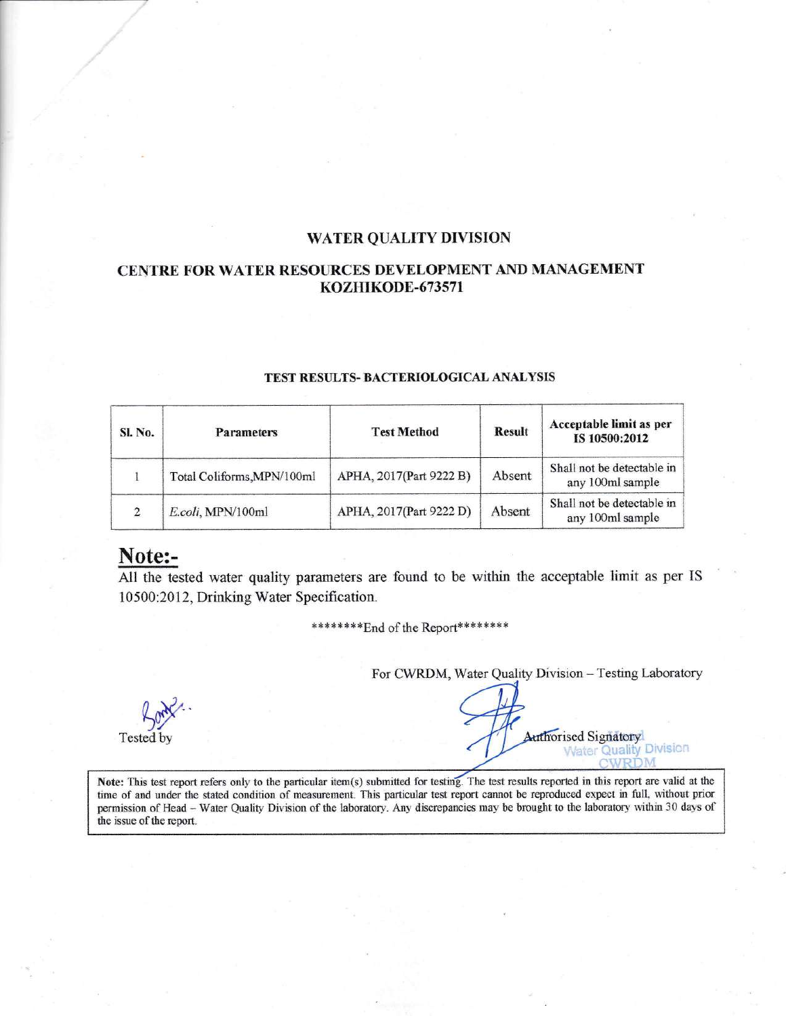#### WATER QUALITY DIVISION

#### CENTRE FOR WATER RESOURCES DEYELOPMENT AIYD MANAGEMENT KOZHIKODE-673s71

| <b>SI. No.</b> | <b>Parameters</b>          | <b>Test Method</b>      | <b>Result</b> | Acceptable limit as per<br>IS 10500:2012       |
|----------------|----------------------------|-------------------------|---------------|------------------------------------------------|
|                | Total Coliforms, MPN/100ml | APHA, 2017(Part 9222 B) | Absent        | Shall not be detectable in<br>any 100ml sample |
|                | E.coli, MPN/100ml          | APHA, 2017(Part 9222 D) | Absent        | Shall not be detectable in<br>any 100ml sample |

#### TEST RESULTS- BACTERIOLOGICAL ANALYSIS

### Note:-

All the tested water quality parameters are found to be within the acceptable limit as per IS 10500:2012, Drinking Water Specification.

\*\*\*\*\*\*\*\* End of the Report\*\*\*\*\*\*\*\*

For CWRDM, Water Quality Division - Testing Laboratory

fort Tested by

**Authorised Signatory** Water Quality Division<br>CWRDM

Note: This test report refers only to the particular item(s) submitted for testing. The test results reported in this report are valid at the time of and under the stated condition of measurement. This particular test report cannot be reproduced expect in full, without prior permission of Head - Water Quality Division of the laboratory. Any discrepancies may be brought to the laboratory within 30 days of the issue of the report.